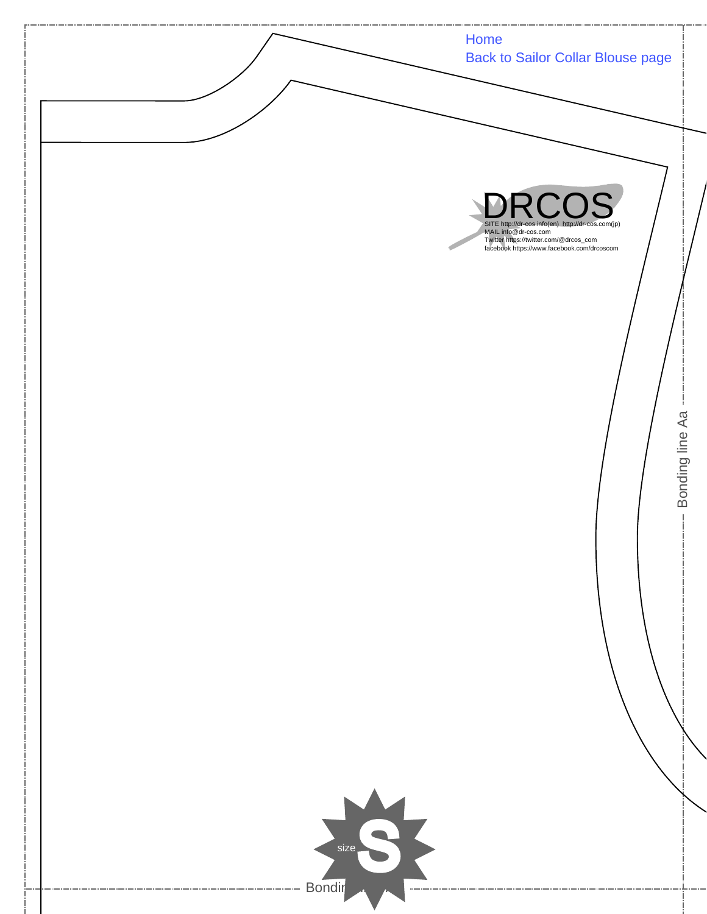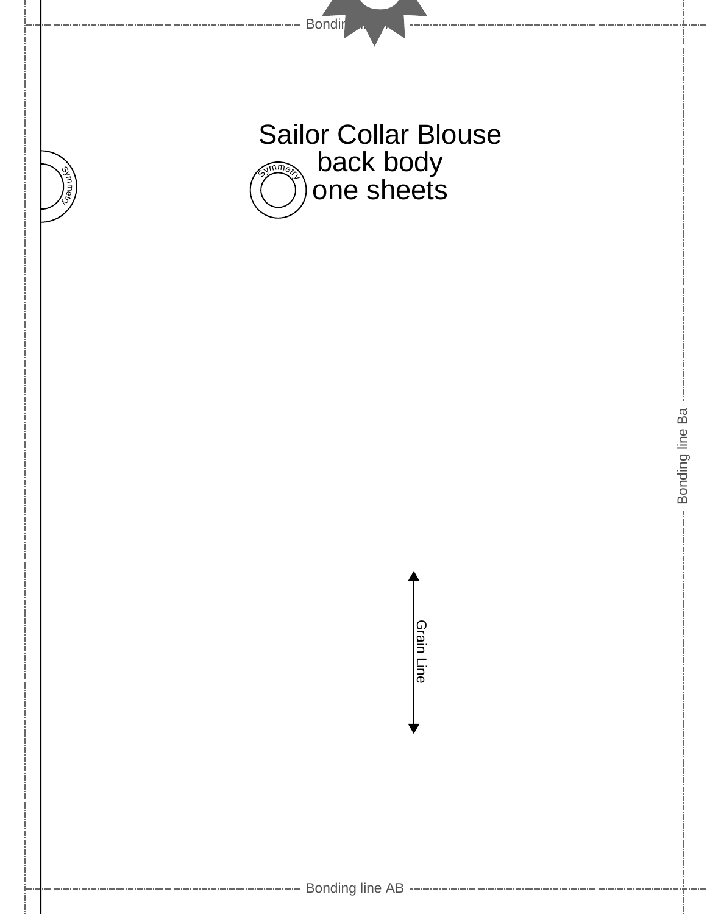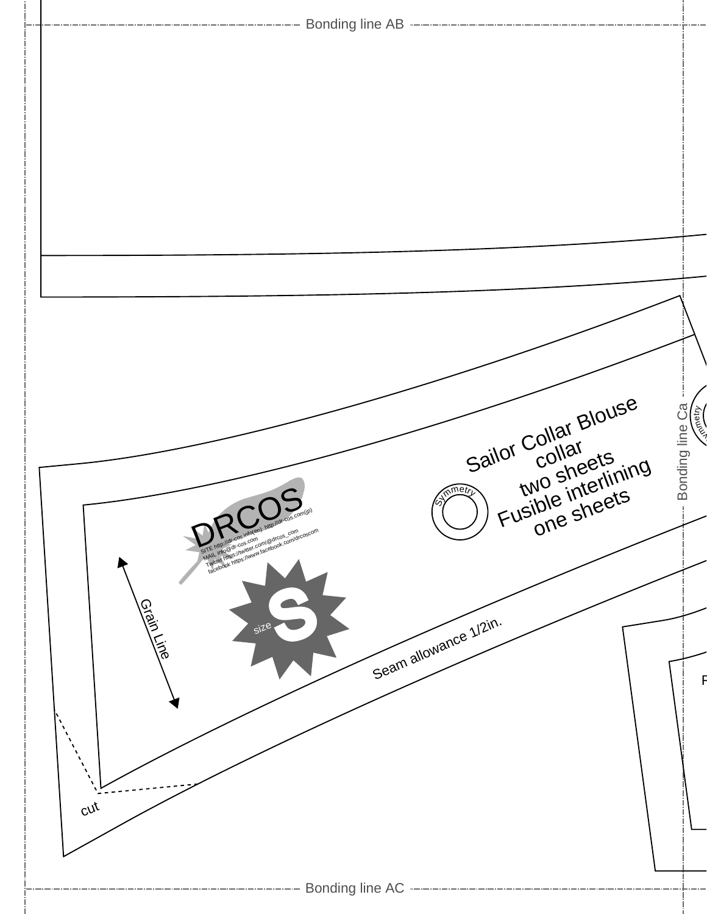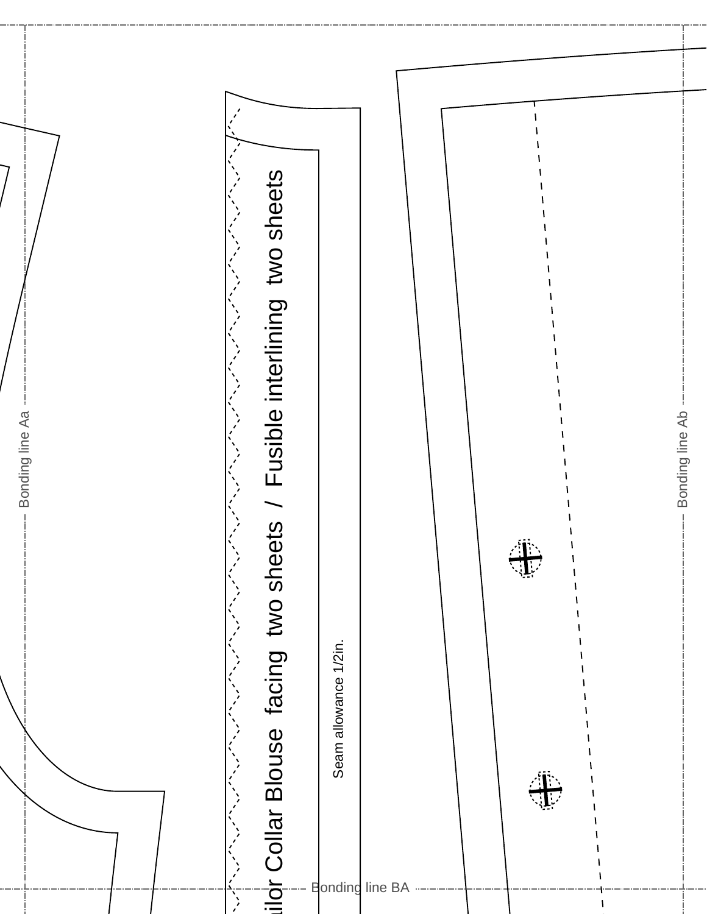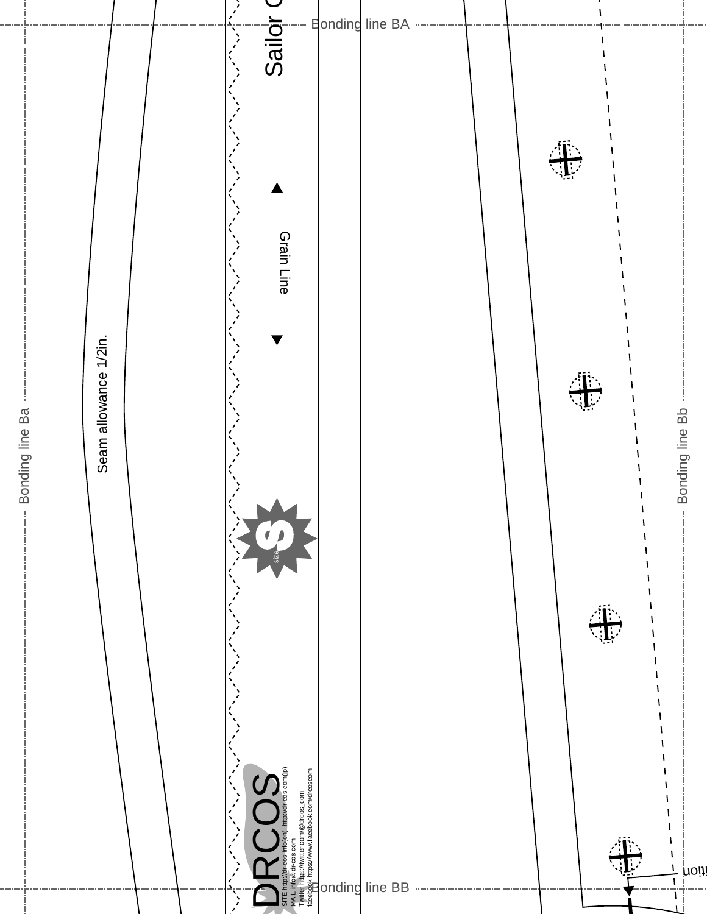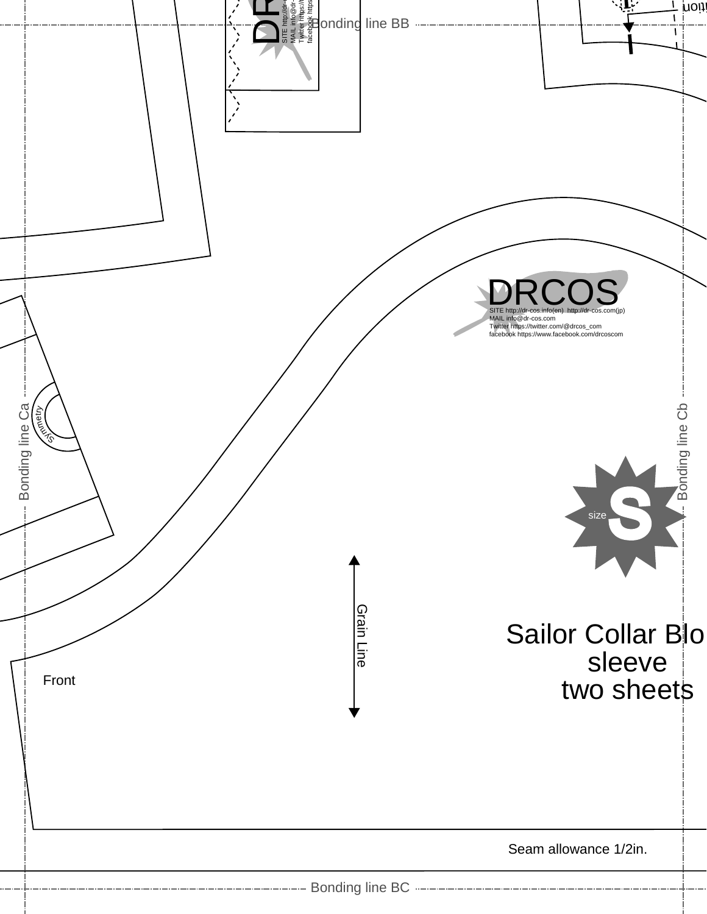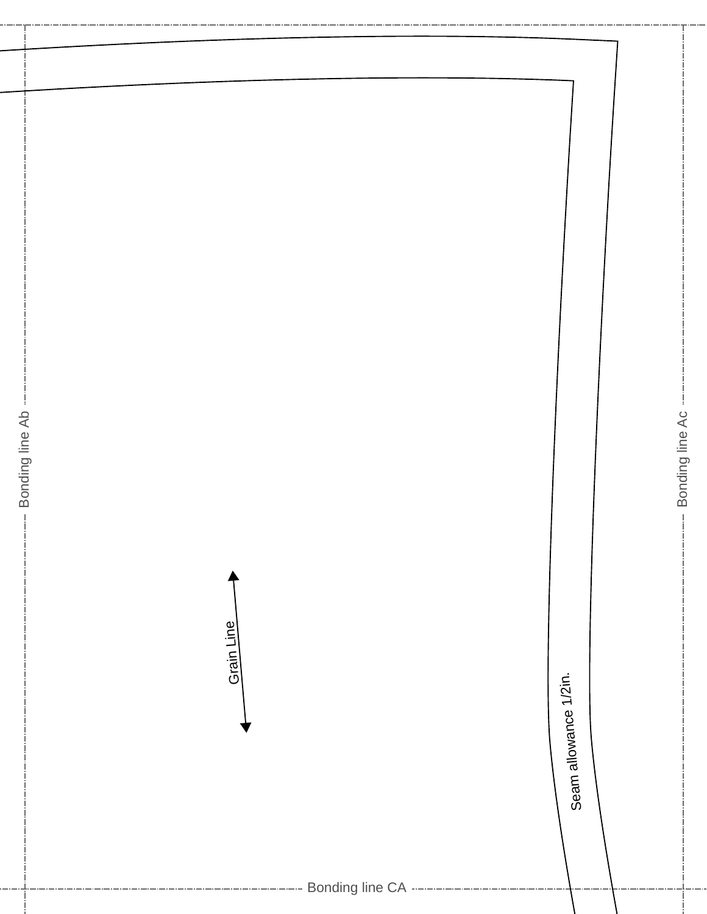| Bonding line Ab |                       | Bonding line Ac |  |
|-----------------|-----------------------|-----------------|--|
| $\frac{1}{1}$   |                       | $\frac{1}{4}$   |  |
| Grain Line      |                       |                 |  |
|                 | Seam allowance 1/2in. |                 |  |
|                 |                       |                 |  |
|                 |                       |                 |  |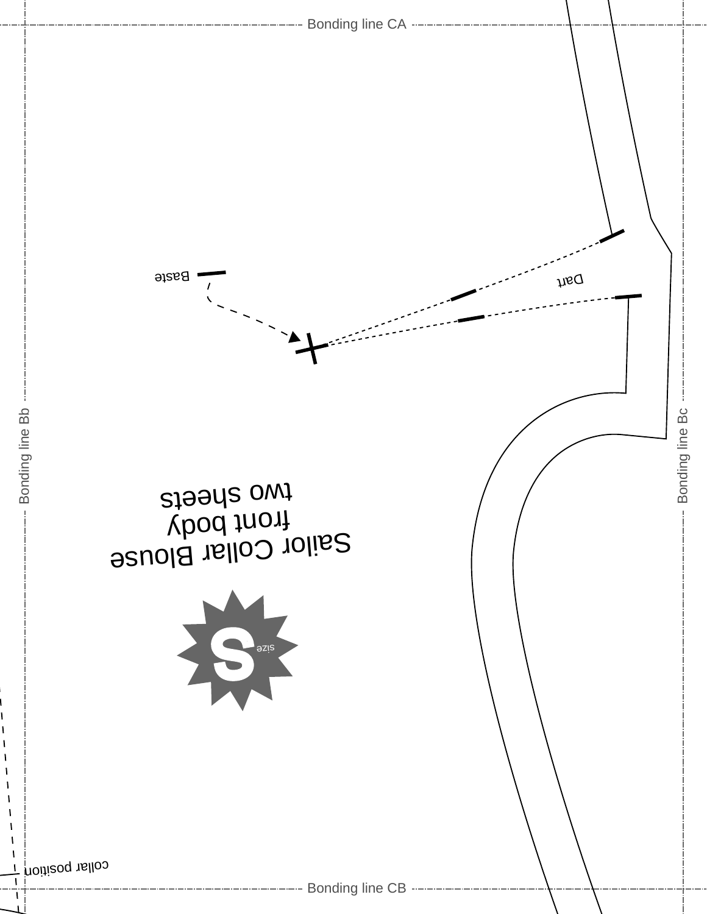